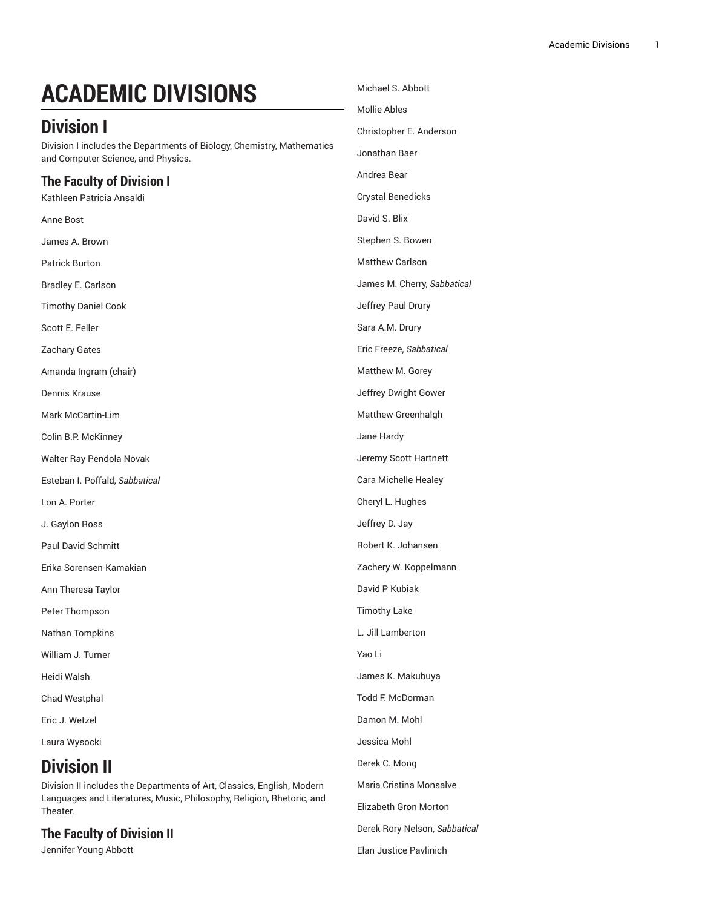# **ACADEMIC DIVISIONS**

## **Division I**

Division I includes the Departments of Biology, Chemistry, Mathematics and Computer Science, and Physics.

### **The Faculty of Division I**

Kathleen Patricia Ansaldi Anne Bost James A. Brown Patrick Burton Bradley E. Carlson Timothy Daniel Cook Scott E. Feller Zachary Gates Amanda Ingram (chair) Dennis Krause Mark McCartin-Lim Colin B.P. McKinney Walter Ray Pendola Novak Esteban I. Poffald, *Sabbatical* Lon A. Porter J. Gaylon Ross Paul David Schmitt Erika Sorensen-Kamakian Ann Theresa Taylor Peter Thompson Nathan Tompkins William J. Turner Heidi Walsh Chad Westphal Eric J. Wetzel Laura Wysocki

## **Division II**

Division II includes the Departments of Art, Classics, English, Modern Languages and Literatures, Music, Philosophy, Religion, Rhetoric, and Theater.

#### **The Faculty of Division II**

Jennifer Young Abbott

Michael S. Abbott Mollie Ables Christopher E. Anderson Jonathan Baer Andrea Bear Crystal Benedicks David S. Blix Stephen S. Bowen Matthew Carlson James M. Cherry, *Sabbatical* Jeffrey Paul Drury Sara A.M. Drury Eric Freeze, *Sabbatical* Matthew M. Gorey Jeffrey Dwight Gower Matthew Greenhalgh Jane Hardy Jeremy Scott Hartnett Cara Michelle Healey Cheryl L. Hughes Jeffrey D. Jay Robert K. Johansen Zachery W. Koppelmann David P Kubiak Timothy Lake L. Jill Lamberton Yao Li James K. Makubuya Todd F. McDorman Damon M. Mohl Jessica Mohl Derek C. Mong Maria Cristina Monsalve Elizabeth Gron Morton Derek Rory Nelson, *Sabbatical* Elan Justice Pavlinich